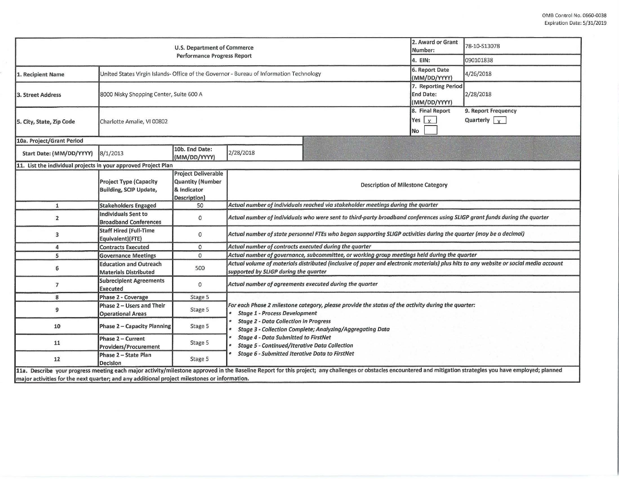| U.S. Department of Commerce<br><b>Performance Progress Report</b>                            |                                                                                         |                                                                                      |                                                                                                                                                                                                                                                                                                                                                                                                                                |                                                                                                                                                                                                                  |                                                         | 78-10-S13078 |  |  |  |
|----------------------------------------------------------------------------------------------|-----------------------------------------------------------------------------------------|--------------------------------------------------------------------------------------|--------------------------------------------------------------------------------------------------------------------------------------------------------------------------------------------------------------------------------------------------------------------------------------------------------------------------------------------------------------------------------------------------------------------------------|------------------------------------------------------------------------------------------------------------------------------------------------------------------------------------------------------------------|---------------------------------------------------------|--------------|--|--|--|
|                                                                                              |                                                                                         |                                                                                      |                                                                                                                                                                                                                                                                                                                                                                                                                                |                                                                                                                                                                                                                  |                                                         | 090101838    |  |  |  |
| 1. Recipient Name                                                                            | United States Virgin Islands- Office of the Governor - Bureau of Information Technology |                                                                                      |                                                                                                                                                                                                                                                                                                                                                                                                                                | 6. Report Date<br>(MM/DD/YYYY)                                                                                                                                                                                   | 4/26/2018                                               |              |  |  |  |
| 3. Street Address                                                                            | 8000 Nisky Shopping Center, Suite 600 A                                                 |                                                                                      |                                                                                                                                                                                                                                                                                                                                                                                                                                |                                                                                                                                                                                                                  | 7. Reporting Period<br><b>End Date:</b><br>(MM/DD/YYYY) | 2/28/2018    |  |  |  |
| 5. City, State, Zip Code                                                                     | Charlotte Amalie, VI 00802                                                              |                                                                                      |                                                                                                                                                                                                                                                                                                                                                                                                                                | 8. Final Report<br>Yes $x$<br>No                                                                                                                                                                                 | 9. Report Frequency<br>Quarterly $\sqrt{x}$             |              |  |  |  |
| 10a. Project/Grant Period                                                                    |                                                                                         |                                                                                      |                                                                                                                                                                                                                                                                                                                                                                                                                                |                                                                                                                                                                                                                  |                                                         |              |  |  |  |
| Start Date: (MM/DD/YYYY)                                                                     | 8/1/2013                                                                                | 10b. End Date:<br>(MM/DD/YYYY)                                                       | 2/28/2018                                                                                                                                                                                                                                                                                                                                                                                                                      |                                                                                                                                                                                                                  |                                                         |              |  |  |  |
| 11. List the individual projects in your approved Project Plan                               |                                                                                         |                                                                                      |                                                                                                                                                                                                                                                                                                                                                                                                                                |                                                                                                                                                                                                                  |                                                         |              |  |  |  |
|                                                                                              | Project Type (Capacity<br>Building, SCIP Update,                                        | <b>Project Deliverable</b><br><b>Quantity (Number</b><br>& Indicator<br>Description) | <b>Description of Milestone Category</b>                                                                                                                                                                                                                                                                                                                                                                                       |                                                                                                                                                                                                                  |                                                         |              |  |  |  |
| $\mathbf{1}$                                                                                 | <b>Stakeholders Engaged</b>                                                             | 50                                                                                   | Actual number of individuals reached via stakeholder meetings during the quarter                                                                                                                                                                                                                                                                                                                                               |                                                                                                                                                                                                                  |                                                         |              |  |  |  |
| $\overline{2}$                                                                               | <b>Individuals Sent to</b><br><b>Broadband Conferences</b>                              | $\circ$                                                                              | Actual number of individuals who were sent to third-party broadband conferences using SLIGP grant funds during the quarter                                                                                                                                                                                                                                                                                                     |                                                                                                                                                                                                                  |                                                         |              |  |  |  |
| 3                                                                                            | <b>Staff Hired (Full-Time</b><br>Equivalent)(FTE)                                       | 0                                                                                    | Actual number of state personnel FTEs who began supporting SLIGP activities during the quarter (may be a decimal)                                                                                                                                                                                                                                                                                                              |                                                                                                                                                                                                                  |                                                         |              |  |  |  |
| 4                                                                                            | <b>Contracts Executed</b>                                                               | $\mathsf{o}$                                                                         | Actual number of contracts executed during the quarter                                                                                                                                                                                                                                                                                                                                                                         |                                                                                                                                                                                                                  |                                                         |              |  |  |  |
| 5                                                                                            | <b>Governance Meetings</b>                                                              | 0                                                                                    | Actual number of governance, subcommittee, or working group meetings held during the quarter                                                                                                                                                                                                                                                                                                                                   |                                                                                                                                                                                                                  |                                                         |              |  |  |  |
| 6                                                                                            | <b>Education and Outreach</b><br><b>Materials Distributed</b>                           | 500                                                                                  | Actual volume of materials distributed (inclusive of paper and electronic materials) plus hits to any website or social media account<br>supported by SLIGP during the quarter                                                                                                                                                                                                                                                 |                                                                                                                                                                                                                  |                                                         |              |  |  |  |
| $\overline{7}$                                                                               | <b>Subrecipient Agreements</b><br><b>Executed</b>                                       | $\mathbf{O}$                                                                         | Actual number of agreements executed during the quarter                                                                                                                                                                                                                                                                                                                                                                        |                                                                                                                                                                                                                  |                                                         |              |  |  |  |
| 8                                                                                            | Phase 2 - Coverage                                                                      | Stage 5                                                                              |                                                                                                                                                                                                                                                                                                                                                                                                                                |                                                                                                                                                                                                                  |                                                         |              |  |  |  |
| 9                                                                                            | Phase 2 - Users and Their<br><b>Operational Areas</b>                                   | Stage 5                                                                              | For each Phase 2 milestone category, please provide the status of the activity during the quarter:<br><b>Stage 1 - Process Development</b><br><b>Stage 2 - Data Collection in Progress</b><br><b>Stage 3 - Collection Complete; Analyzing/Aggregating Data</b><br><b>Stage 4 - Data Submitted to FirstNet</b><br><b>Stage 5 - Continued/Iterative Data Collection</b><br><b>Stage 6 - Submitted Iterative Data to FirstNet</b> |                                                                                                                                                                                                                  |                                                         |              |  |  |  |
| 10                                                                                           | Phase 2 - Capacity Planning                                                             | Stage 5                                                                              |                                                                                                                                                                                                                                                                                                                                                                                                                                |                                                                                                                                                                                                                  |                                                         |              |  |  |  |
| 11                                                                                           | Phase 2 - Current<br>Providers/Procurement                                              | Stage 5                                                                              |                                                                                                                                                                                                                                                                                                                                                                                                                                |                                                                                                                                                                                                                  |                                                         |              |  |  |  |
| 12                                                                                           | Phase 2 - State Plan<br>Decision                                                        | Stage 5                                                                              |                                                                                                                                                                                                                                                                                                                                                                                                                                |                                                                                                                                                                                                                  |                                                         |              |  |  |  |
| major activities for the next quarter; and any additional project milestones or information. |                                                                                         |                                                                                      |                                                                                                                                                                                                                                                                                                                                                                                                                                | 11a. Describe your progress meeting each major activity/milestone approved in the Baseline Report for this project; any challenges or obstacles encountered and mitigation strategies you have employed; planned |                                                         |              |  |  |  |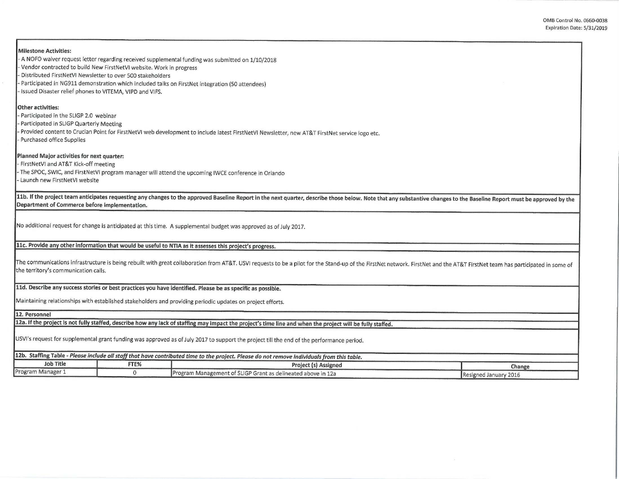0MB Control No. 0660-0038 Expiration Date: 5/31/2019

| Milestone Activities:<br>- A NOFO waiver request letter regarding received supplemental funding was submitted on 1/10/2018<br>Vendor contracted to build New FirstNetVI website. Work in progress<br>Distributed FirstNetVI Newsletter to over 500 stakeholders<br>Participated in NG911 demonstration which included talks on FirstNet integration (50 attendees)<br>Issued Disaster relief phones to VITEMA, VIPD and VIFS. |              |                                                                                                                                                                                                                              |  |  |  |  |  |  |
|-------------------------------------------------------------------------------------------------------------------------------------------------------------------------------------------------------------------------------------------------------------------------------------------------------------------------------------------------------------------------------------------------------------------------------|--------------|------------------------------------------------------------------------------------------------------------------------------------------------------------------------------------------------------------------------------|--|--|--|--|--|--|
| Other activities:<br>Participated in the SLIGP 2.0 webinar<br>Participated in SLIGP Quarterly Meeting<br>- Purchased office Supplies                                                                                                                                                                                                                                                                                          |              | Provided content to Crucian Point for FirstNetVI web development to include latest FirstNetVI Newsletter, new AT&T FirstNet service logo etc.                                                                                |  |  |  |  |  |  |
| Planned Major activities for next quarter:<br>FirstNetVI and AT&T Kick-off meeting<br>- Launch new FirstNetVI website                                                                                                                                                                                                                                                                                                         |              | The SPOC, SWIC, and FirstNetVI program manager will attend the upcoming IWCE conference in Orlando                                                                                                                           |  |  |  |  |  |  |
| Department of Commerce before implementation.                                                                                                                                                                                                                                                                                                                                                                                 |              | 11b. If the project team anticipates requesting any changes to the approved Baseline Report in the next quarter, describe those below. Note that any substantive changes to the Baseline Report must be approved by the      |  |  |  |  |  |  |
|                                                                                                                                                                                                                                                                                                                                                                                                                               |              | No additional request for change is anticipated at this time. A supplemental budget was approved as of July 2017.                                                                                                            |  |  |  |  |  |  |
|                                                                                                                                                                                                                                                                                                                                                                                                                               |              | 11c. Provide any other information that would be useful to NTIA as it assesses this project's progress.                                                                                                                      |  |  |  |  |  |  |
| the territory's communication calls.                                                                                                                                                                                                                                                                                                                                                                                          |              | The communications infrastructure is being rebuilt with great collaboration from AT&T. USVI requests to be a pilot for the Stand-up of the FirstNet network. FirstNet and the AT&T FirstNet team has participated in some of |  |  |  |  |  |  |
|                                                                                                                                                                                                                                                                                                                                                                                                                               |              | 11d. Describe any success stories or best practices you have identified. Please be as specific as possible.<br>Maintaining relationships with established stakeholders and providing periodic updates on project efforts.    |  |  |  |  |  |  |
| 12. Personnel                                                                                                                                                                                                                                                                                                                                                                                                                 |              |                                                                                                                                                                                                                              |  |  |  |  |  |  |
| 12a. If the project is not fully staffed, describe how any lack of staffing may impact the project's time line and when the project will be fully staffed.                                                                                                                                                                                                                                                                    |              |                                                                                                                                                                                                                              |  |  |  |  |  |  |
|                                                                                                                                                                                                                                                                                                                                                                                                                               |              | USVI's request for supplemental grant funding was approved as of July 2017 to support the project till the end of the performance period.                                                                                    |  |  |  |  |  |  |
|                                                                                                                                                                                                                                                                                                                                                                                                                               |              | 12b. Staffing Table - Please include all staff that have contributed time to the project. Please do not remove individuals from this table.                                                                                  |  |  |  |  |  |  |
| <b>Job Title</b>                                                                                                                                                                                                                                                                                                                                                                                                              | FTE%         | Project (s) Assigned<br>Change                                                                                                                                                                                               |  |  |  |  |  |  |
| Program Manager 1                                                                                                                                                                                                                                                                                                                                                                                                             | $\mathbf{O}$ | Program Management of SLIGP Grant as delineated above in 12a<br>Resigned January 2016                                                                                                                                        |  |  |  |  |  |  |